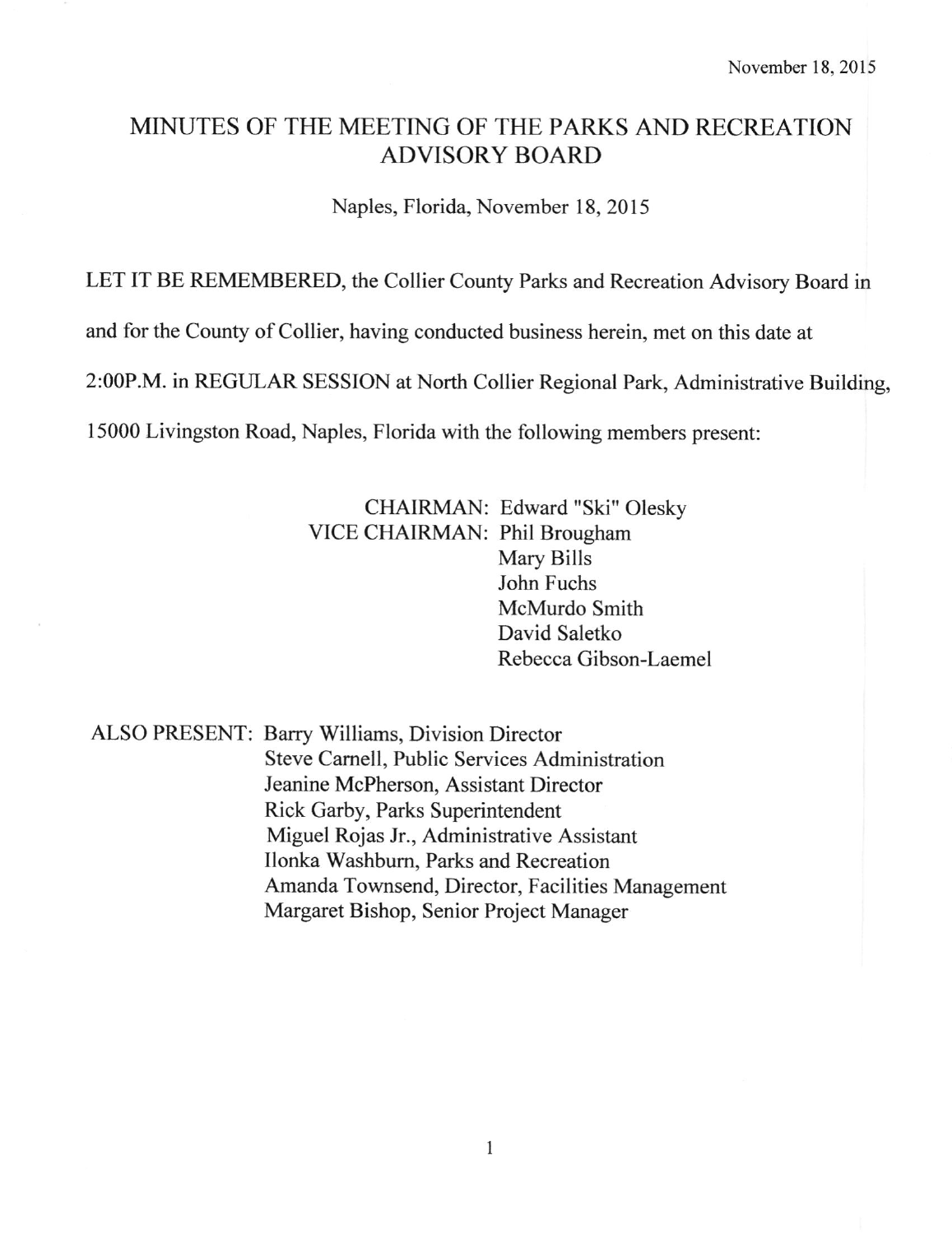# MINUTES OF THE MEETING OF THE PARKS AND RECREATION ADVISORY BOARD

Naples, Florida, November 18, 2015

LET IT BE REMEMBERED, the Collier County Parks and Recreation Advisory Board in

and for the County of Collier, having conducted business herein, met on this date at

2:00P.M. in REGULAR SESSION at North Collier Regional Park, Administrative Building,

15000 Livingston Road, Naples, Florida with the following members present:

## CHAIRMAN: Edward "Ski" Olesky VICE CHATRMAN: Phil Brougham Mary Bills John Fuchs McMurdo Smith David Saletko Rebecca Gibson-Laemel

ALSO PRESENT: Barry Williams, Division Director Steve Camell, Public Services Administration Jeanine McPherson, Assistant Director Rick Garby, Parks Superintendent Miguel Rojas Jr., Administrative Assistant Ilonka Washbum, Parks and Recreation Amanda Townsend, Director, Facilities Management Margaret Bishop, Senior Project Manager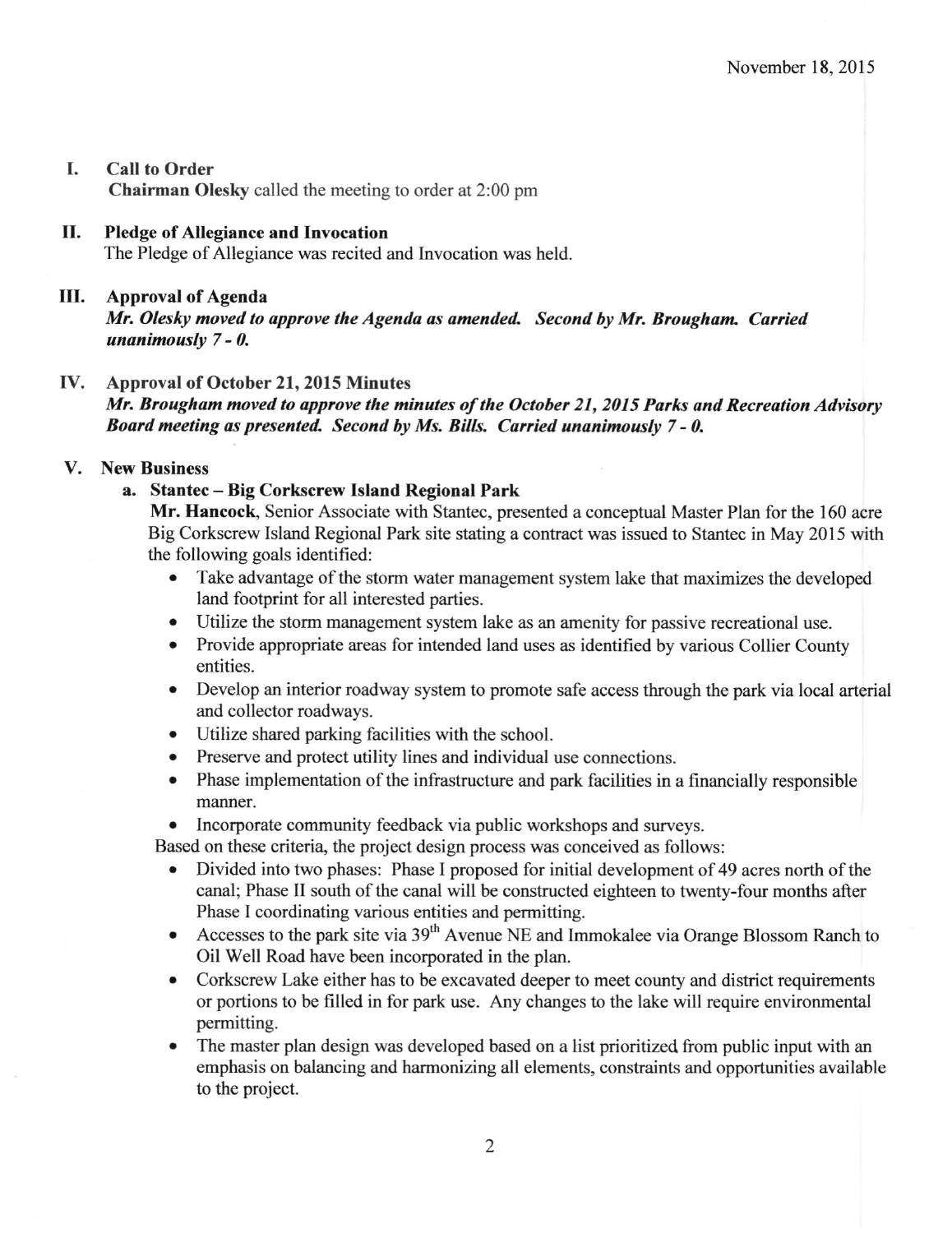#### I. Call to Order Chairman Olesky called the meeting to order at 2:00 pm

#### II. Pledge of Allegiance and Invocation

The Pledge of Allegiance was recited and Invocation was held.

#### ilI. Approval of Agenda

Mr. Olesky moved to approve the Agenda as amended. Second by Mr. Brougham. Carried unanimously 7 - 0.

#### IV. Approval of October 21, 2015 Minutes

Mr. Brougham moved to approve the minutes of the October 21, 2015 Parks and Recreation Advisory Board meeting as presented. Second by Ms. Bills. Carried unanimously  $7 - 0$ .

#### V. New Business

#### a, Stantec - Big Corkscrew Island Regional Park

Mr. Hancock, Senior Associate with Stantec, presented a conceptual Master Plan for the 160 acre Big Corkscrew Island Regional Park site stating a contract was issued to Stantec in May 2015 with the following goals identified:

- Take advantage of the storm water management system lake that maximizes the developed land footprint for all interested parties.
- o Utilize the storm management system lake as an amenity for passive recreational use.
- Provide appropriate areas for intended land uses as identified by various Collier County entities.
- o Develop an interior roadway system to promote safe access through the park via local arterial and collector roadways.
- . Utilize shared parking facilities with the school.
- o Preserve and protect utility lines and individual use connections.
- o Phase implementation of the infiastructure and park facilities in a financially responsible manner.

. Incorporate community feedback via public workshops and surveys.

Based on these criteria, the project design process was conceived as follows:

- Divided into two phases: Phase I proposed for initial development of 49 acres north of the canal; Phase II south of the canal will be constructed eighteen to twenty-four months after Phase I coordinating various entities and permitting.
- $\bullet$  Accesses to the park site via 39<sup>th</sup> Avenue NE and Immokalee via Orange Blossom Ranch to Oil Well Road have been incorporated in the plan.
- Corkscrew Lake either has to be excavated deeper to meet county and district requirements or portions to be filled in for park use. Any changes to the lake will require environmental permitting.
- The master plan design was developed based on a list prioritized from public input with an emphasis on balancing and harmonizing all elements, constraints and opportunities available to the project.